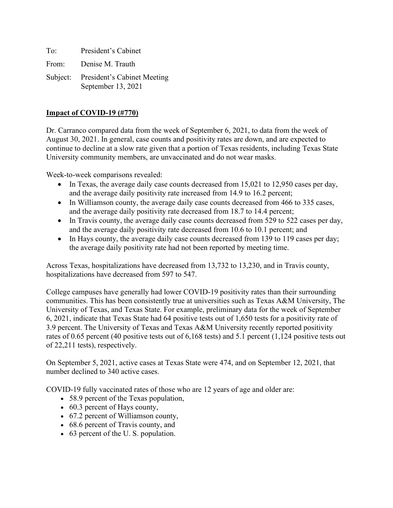To: President's Cabinet From: Denise M. Trauth Subject: President's Cabinet Meeting September 13, 2021

#### **Impact of COVID-19 (#770)**

Dr. Carranco compared data from the week of September 6, 2021, to data from the week of August 30, 2021. In general, case counts and positivity rates are down, and are expected to continue to decline at a slow rate given that a portion of Texas residents, including Texas State University community members, are unvaccinated and do not wear masks.

Week-to-week comparisons revealed:

- In Texas, the average daily case counts decreased from 15,021 to 12,950 cases per day, and the average daily positivity rate increased from 14.9 to 16.2 percent;
- In Williamson county, the average daily case counts decreased from 466 to 335 cases, and the average daily positivity rate decreased from 18.7 to 14.4 percent;
- In Travis county, the average daily case counts decreased from 529 to 522 cases per day, and the average daily positivity rate decreased from 10.6 to 10.1 percent; and
- In Hays county, the average daily case counts decreased from 139 to 119 cases per day; the average daily positivity rate had not been reported by meeting time.

Across Texas, hospitalizations have decreased from 13,732 to 13,230, and in Travis county, hospitalizations have decreased from 597 to 547.

College campuses have generally had lower COVID-19 positivity rates than their surrounding communities. This has been consistently true at universities such as Texas A&M University, The University of Texas, and Texas State. For example, preliminary data for the week of September 6, 2021, indicate that Texas State had 64 positive tests out of 1,650 tests for a positivity rate of 3.9 percent. The University of Texas and Texas A&M University recently reported positivity rates of 0.65 percent (40 positive tests out of 6,168 tests) and 5.1 percent (1,124 positive tests out of 22,211 tests), respectively.

On September 5, 2021, active cases at Texas State were 474, and on September 12, 2021, that number declined to 340 active cases.

COVID-19 fully vaccinated rates of those who are 12 years of age and older are:

- 58.9 percent of the Texas population,
- 60.3 percent of Hays county,
- 67.2 percent of Williamson county,
- 68.6 percent of Travis county, and
- 63 percent of the U. S. population.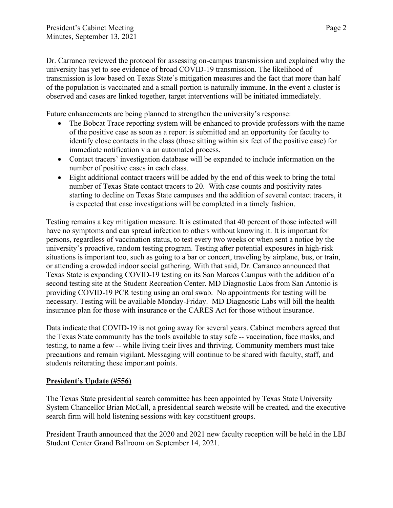Dr. Carranco reviewed the protocol for assessing on-campus transmission and explained why the university has yet to see evidence of broad COVID-19 transmission. The likelihood of transmission is low based on Texas State's mitigation measures and the fact that more than half of the population is vaccinated and a small portion is naturally immune. In the event a cluster is observed and cases are linked together, target interventions will be initiated immediately.

Future enhancements are being planned to strengthen the university's response:

- The Bobcat Trace reporting system will be enhanced to provide professors with the name of the positive case as soon as a report is submitted and an opportunity for faculty to identify close contacts in the class (those sitting within six feet of the positive case) for immediate notification via an automated process.
- Contact tracers' investigation database will be expanded to include information on the number of positive cases in each class.
- Eight additional contact tracers will be added by the end of this week to bring the total number of Texas State contact tracers to 20. With case counts and positivity rates starting to decline on Texas State campuses and the addition of several contact tracers, it is expected that case investigations will be completed in a timely fashion.

Testing remains a key mitigation measure. It is estimated that 40 percent of those infected will have no symptoms and can spread infection to others without knowing it. It is important for persons, regardless of vaccination status, to test every two weeks or when sent a notice by the university's proactive, random testing program. Testing after potential exposures in high-risk situations is important too, such as going to a bar or concert, traveling by airplane, bus, or train, or attending a crowded indoor social gathering. With that said, Dr. Carranco announced that Texas State is expanding COVID-19 testing on its San Marcos Campus with the addition of a second testing site at the Student Recreation Center. MD Diagnostic Labs from San Antonio is providing COVID-19 PCR testing using an oral swab. No appointments for testing will be necessary. Testing will be available Monday-Friday. MD Diagnostic Labs will bill the health insurance plan for those with insurance or the CARES Act for those without insurance.

Data indicate that COVID-19 is not going away for several years. Cabinet members agreed that the Texas State community has the tools available to stay safe -- vaccination, face masks, and testing, to name a few -- while living their lives and thriving. Community members must take precautions and remain vigilant. Messaging will continue to be shared with faculty, staff, and students reiterating these important points.

### **President's Update (#556)**

The Texas State presidential search committee has been appointed by Texas State University System Chancellor Brian McCall, a presidential search website will be created, and the executive search firm will hold listening sessions with key constituent groups.

President Trauth announced that the 2020 and 2021 new faculty reception will be held in the LBJ Student Center Grand Ballroom on September 14, 2021.